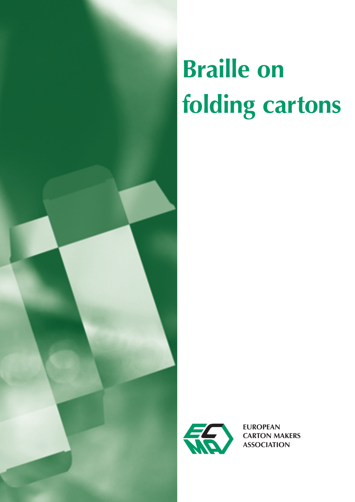# **Braille on folding cartons**



**EUROPEAN CARTON MAKERS ASSOCIATION**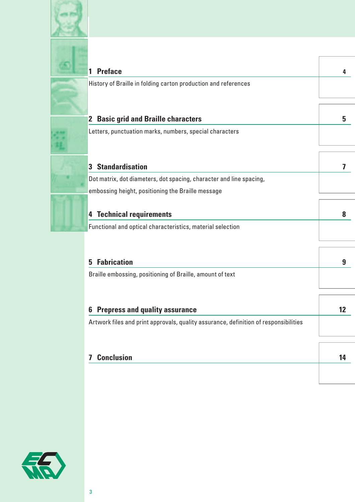

Î

| <b>Preface</b>                                                                                   |  |
|--------------------------------------------------------------------------------------------------|--|
| History of Braille in folding carton production and references                                   |  |
| <b>Basic grid and Braille characters</b><br>$\mathbf{2}$                                         |  |
| Letters, punctuation marks, numbers, special characters                                          |  |
|                                                                                                  |  |
| <b>Standardisation</b><br>3                                                                      |  |
| Dot matrix, dot diameters, dot spacing, character and line spacing,                              |  |
| embossing height, positioning the Braille message                                                |  |
| <b>Technical requirements</b><br>4<br>Functional and optical characteristics, material selection |  |
| <b>Fabrication</b><br>5                                                                          |  |
| Braille embossing, positioning of Braille, amount of text                                        |  |
|                                                                                                  |  |
| <b>Prepress and quality assurance</b><br>b                                                       |  |
| Artwork files and print approvals, quality assurance, definition of responsibilities             |  |
|                                                                                                  |  |
| <b>Conclusion</b><br>7                                                                           |  |
|                                                                                                  |  |

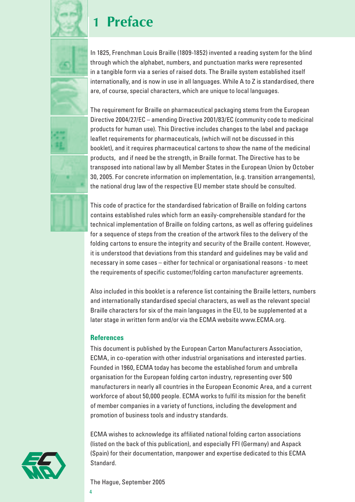

# **1 Preface**

In 1825, Frenchman Louis Braille (1809-1852) invented a reading system for the blind through which the alphabet, numbers, and punctuation marks were represented in a tangible form via a series of raised dots. The Braille system established itself internationally, and is now in use in all languages. While A to Z is standardised, there are, of course, special characters, which are unique to local languages.

The requirement for Braille on pharmaceutical packaging stems from the European Directive 2004/27/EC – amending Directive 2001/83/EC (community code to medicinal products for human use). This Directive includes changes to the label and package leaflet requirements for pharmaceuticals, (which will not be discussed in this booklet), and it requires pharmaceutical cartons to show the name of the medicinal products, and if need be the strength, in Braille format. The Directive has to be transposed into national law by all Member States in the European Union by October 30, 2005. For concrete information on implementation, (e.g. transition arrangements), the national drug law of the respective EU member state should be consulted.

This code of practice for the standardised fabrication of Braille on folding cartons contains established rules which form an easily-comprehensible standard for the technical implementation of Braille on folding cartons, as well as offering guidelines for a sequence of steps from the creation of the artwork files to the delivery of the folding cartons to ensure the integrity and security of the Braille content. However, it is understood that deviations from this standard and guidelines may be valid and necessary in some cases – either for technical or organisational reasons - to meet the requirements of specific customer/folding carton manufacturer agreements.

Also included in this booklet is a reference list containing the Braille letters, numbers and internationally standardised special characters, as well as the relevant special Braille characters for six of the main languages in the EU, to be supplemented at a later stage in written form and/or via the ECMA website www.ECMA.org.

### **References**

This document is published by the European Carton Manufacturers Association, ECMA, in co-operation with other industrial organisations and interested parties. Founded in 1960, ECMA today has become the established forum and umbrella organisation for the European folding carton industry, representing over 500 manufacturers in nearly all countries in the European Economic Area, and a current workforce of about 50,000 people. ECMA works to fulfil its mission for the benefit of member companies in a variety of functions, including the development and promotion of business tools and industry standards.

ECMA wishes to acknowledge its affiliated national folding carton associations (listed on the back of this publication), and especially FFI (Germany) and Aspack (Spain) for their documentation, manpower and expertise dedicated to this ECMA Standard.

The Hague, September 2005

4

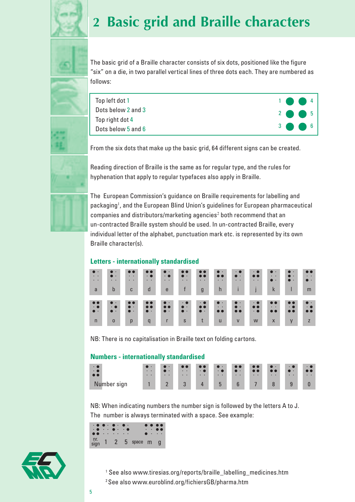

# **2 Basic grid and Braille characters**



The basic grid of a Braille character consists of six dots, positioned like the figure "six" on a die, in two parallel vertical lines of three dots each. They are numbered as follows:

| Top left dot 1     |  | $1$ $\bullet$ $4$ |  |
|--------------------|--|-------------------|--|
| Dots below 2 and 3 |  | $2$ $\bullet$ 5   |  |
| Top right dot 4    |  |                   |  |
| Dots below 5 and 6 |  | $3 \bullet 6$     |  |

From the six dots that make up the basic grid, 64 different signs can be created.





The European Commission's guidance on Braille requirements for labelling and packaging<sup>1</sup>, and the European Blind Union's guidelines for European pharmaceutical companies and distributors/marketing agencies<sup>2</sup> both recommend that an un-contracted Braille system should be used. In un-contracted Braille, every individual letter of the alphabet, punctuation mark etc. is represented by its own Braille character(s).

### **Letters - internationally standardised**

| $\bullet$              | $\bullet$ .            | $\bullet\bullet$             | $\bullet$              | $\bullet$ .                           | $\bullet\bullet$        | $\bullet$ $\bullet$    | $\bullet$ .                  | $\cdot\bullet$         | $\cdot$ $\bullet$       | $\bullet$ .            | $\bullet$ .       | $\bullet$              |
|------------------------|------------------------|------------------------------|------------------------|---------------------------------------|-------------------------|------------------------|------------------------------|------------------------|-------------------------|------------------------|-------------------|------------------------|
| $\bullet\qquad\bullet$ | $\bullet$ .            | $\bullet\qquad\bullet$       | $\cdot$ $\bullet$      | $\cdot$ $\bullet$                     | $\bullet$ $\cdot$       | $\bullet$              | $\bullet$ $\bullet$          | $\bullet$ .            | $\bullet$               | $\bullet\qquad\bullet$ | $\bullet$ .       | $\bullet\qquad\bullet$ |
| $\bullet\qquad\bullet$ | $\bullet\qquad\bullet$ | $\bullet\qquad\bullet\qquad$ | $\bullet\qquad\bullet$ | $\bullet\qquad \bullet\qquad \bullet$ | $\bullet\qquad \bullet$ | $\bullet\qquad\bullet$ | $\bullet\qquad \bullet$      | $\bullet\qquad\bullet$ | $\bullet\qquad \bullet$ | $\bullet$ .            | $\bullet$ .       | $\bullet$ .            |
| a                      | $\mathbf b$            | $\mathbf{C}$                 | d                      | e                                     | $\mathsf{f}$            | $\mathfrak{g}$         | $\mathsf{h}$                 | i.                     |                         | $\mathsf k$            |                   | m                      |
| $\bullet\bullet$       | $\bullet$ .            | $\bullet\bullet$             | $\bullet\bullet$       | $\bullet$ .                           | $\cdot$ $\bullet$       | $\cdot$ $\bullet$      | $\bullet$ .                  | $\bullet$ .            | $\cdot$ $\bullet$       | $\bullet\bullet$       | $\bullet$         | $\bullet$ .            |
| $\cdot$ $\bullet$      | $\cdot$ $\bullet$      | $\bullet$ .                  | $\bullet\bullet$       | $\bullet\bullet$                      | $\bullet$ .             | $\bullet$              | $\bullet\qquad\bullet\qquad$ | $\bullet$ .            | $\bullet$ $\bullet$     | $\bullet$ . $\bullet$  | $\cdot$ $\bullet$ | $\cdot$ $\bullet$      |
| $\bullet$ .            | $\bullet$ .            | $\bullet$ .                  | $\bullet$ .            | $\bullet$ .                           | $\bullet$ .             | $\bullet$ .            | $\bullet$ $\bullet$          | $\bullet$              | $\cdot$ $\bullet$       | $\bullet\bullet$       | $\bullet\bullet$  | $\bullet\bullet$       |
|                        |                        |                              |                        |                                       |                         |                        |                              |                        |                         |                        |                   |                        |

NB: There is no capitalisation in Braille text on folding cartons.

### **Numbers - internationally standardised**

| $\ddot{\phantom{1}}$<br>$\cdot$ $\bullet$<br>$\bullet$ | $\bullet$ .<br>$\bullet\quad\bullet\quad$<br>$\bullet\qquad \bullet$ | $\mathbf{\cdot}$<br>$\cdots$<br>$\bullet\quad\bullet$ | $\bullet$<br>$\bullet\qquad \bullet$<br>$\bullet\qquad\bullet\qquad$ | $\bullet$ $\bullet$<br>$\cdot$ (<br>$\bullet$ $\bullet$ | $\bullet$<br>$\cdot$ $\bullet$<br>$\bullet\qquad\bullet\qquad$ | $\bullet$ $\bullet$<br>$\bullet$<br>$\bullet\qquad\bullet\qquad$ | $\bullet\hspace{0.4cm}\bullet\hspace{0.4cm}$ | π<br>$\bullet\quad\bullet$ | $\bullet$ .<br>$\bullet\quad\bullet$ | $\bullet\qquad\bullet$ |
|--------------------------------------------------------|----------------------------------------------------------------------|-------------------------------------------------------|----------------------------------------------------------------------|---------------------------------------------------------|----------------------------------------------------------------|------------------------------------------------------------------|----------------------------------------------|----------------------------|--------------------------------------|------------------------|
| Number<br>sign                                         |                                                                      | $\Omega$<br>-                                         | $\Omega$<br>υ                                                        | $\overline{a}$                                          | 5                                                              | $6\phantom{1}$                                                   |                                              |                            | 9                                    |                        |

NB: When indicating numbers the number sign is followed by the letters A to J. The number is always terminated with a space. See example:

|  | $\bullet\hspace{0.1cm} \bullet\hspace{0.1cm}\bullet\hspace{0.1cm}\bullet\hspace{0.1cm}\bullet\hspace{0.1cm}\bullet\hspace{0.1cm}\bullet\hspace{0.1cm}\bullet$ |                                   | $\bullet$ | $\bullet\bullet\bullet\bullet$<br>$\cdot$ $\cdot$ $\bullet$ $\bullet$ |
|--|---------------------------------------------------------------------------------------------------------------------------------------------------------------|-----------------------------------|-----------|-----------------------------------------------------------------------|
|  |                                                                                                                                                               | $\frac{nr}{sign}$ 1 2 5 space m g |           |                                                                       |



1 See also www.tiresias.org/reports/braille\_labelling\_medicines.htm 2 See also www.euroblind.org/fichiersGB/pharma.htm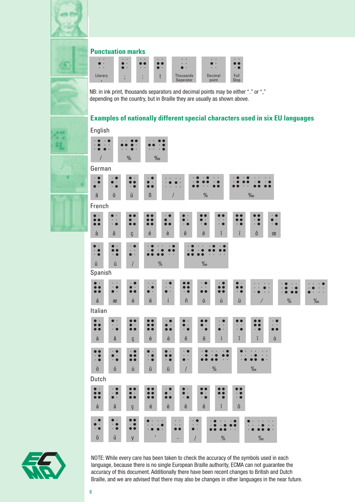

### **Punctuation marks**

| $\bullet$ $\bullet$<br>$\cdot$<br>$\bullet\qquad\bullet$ | $\bullet\qquad\bullet$<br>$\mathbf{r}$ | $\bullet$ $\bullet$<br>$\bullet\bullet$<br>$\bullet$ $\bullet$ | $\bullet$ $\bullet$<br>$\bullet$<br>$\rightarrow$ | $\bullet\qquad\bullet$<br>$\bullet\qquad\bullet$<br>$\cdot$ $\cdot$ | $\bullet$ $\bullet$<br>$\bullet$ .<br>$\bullet\qquad\bullet$ | $\bullet$ $\bullet$<br>$\bullet$ C |
|----------------------------------------------------------|----------------------------------------|----------------------------------------------------------------|---------------------------------------------------|---------------------------------------------------------------------|--------------------------------------------------------------|------------------------------------|
| Literary                                                 |                                        | ۰                                                              |                                                   | Thousands<br>Seperator                                              | Decimal<br>point                                             | Full<br>Stop                       |

NB: in ink print, thousands separators and decimal points may be either "." or "," depending on the country, but in Braille they are usually as shown above.

### **Examples of nationally different special characters used in six EU languages**

| English                                                                                    |                                                                       |                                                  |                                                     |                                                                                                                              |                                                        |                                     |                                                 |                                                                                     |               |      |
|--------------------------------------------------------------------------------------------|-----------------------------------------------------------------------|--------------------------------------------------|-----------------------------------------------------|------------------------------------------------------------------------------------------------------------------------------|--------------------------------------------------------|-------------------------------------|-------------------------------------------------|-------------------------------------------------------------------------------------|---------------|------|
|                                                                                            |                                                                       |                                                  |                                                     |                                                                                                                              |                                                        |                                     |                                                 |                                                                                     |               |      |
| $\sqrt{2}$                                                                                 |                                                                       | $\frac{0}{0}$                                    | $\%$                                                |                                                                                                                              |                                                        |                                     |                                                 |                                                                                     |               |      |
| German                                                                                     |                                                                       |                                                  |                                                     |                                                                                                                              |                                                        |                                     |                                                 |                                                                                     |               |      |
| $\cdot$ $\bullet$<br>$\cdot$ $\bullet$<br>$\bullet$ .                                      | $\bullet$<br>$\bullet$<br>$\bullet$<br>$\cdot$ $\bullet$              | $\bullet$<br>$\cdot$ $\bullet$                   | $\bullet$<br>$\bullet$<br>$\bullet$                 |                                                                                                                              |                                                        |                                     |                                                 |                                                                                     |               |      |
| ä                                                                                          | $\ddot{\text{o}}$                                                     | ü                                                | $\boldsymbol{\beta}$                                | $\sqrt{2}$                                                                                                                   | $\frac{0}{0}$                                          |                                     |                                                 | $\%$                                                                                |               |      |
| French                                                                                     |                                                                       |                                                  |                                                     |                                                                                                                              |                                                        |                                     |                                                 |                                                                                     |               |      |
| $\bullet$<br>$\bullet$<br>$\bullet$<br>$\bullet$                                           | $\bullet$<br>$\bullet$<br>$\bullet$<br>$\bullet$<br>$\cdot$ $\bullet$ | $\bullet$<br>$\bullet$<br>$\bullet$              | $\bullet$ $\bullet$<br>$\bullet$                    | $\bullet$<br>$\bullet$ .<br>$\bullet$<br>$\bullet\bullet$<br>$\cdot$ $\bullet$                                               | $\bullet$<br>$\bullet$<br>$\cdot$ $\bullet$            | $\bullet$<br>$\bullet$              | $\bullet$<br>$\cdot$ $\bullet$                  | $\cdot$ 0<br>$\bullet$ .<br>$\bullet$<br>$\cdot$ $\bullet$<br>$\cdot$ $\bullet$     |               |      |
| à                                                                                          | $\hat{\mathbf{a}}$                                                    | Ç                                                | $\acute{\text{e}}$                                  | è<br>ê                                                                                                                       | $\ddot{\text{e}}$                                      | î                                   | ï                                               | ô<br>œ                                                                              |               |      |
| $\bullet$<br>$\cdot$ $\bullet$<br>$\cdot$ $\bullet$                                        | $\bullet$                                                             | $\ddot{\phantom{0}}$<br>$\bullet$<br>$\bullet$   |                                                     |                                                                                                                              |                                                        |                                     |                                                 |                                                                                     |               |      |
| û                                                                                          | ü                                                                     | $\sqrt{2}$                                       | $\frac{0}{0}$                                       |                                                                                                                              | $\frac{0}{00}$                                         |                                     |                                                 |                                                                                     |               |      |
| Spanish                                                                                    |                                                                       |                                                  |                                                     |                                                                                                                              |                                                        |                                     |                                                 |                                                                                     |               |      |
| $\bullet$ $\cdot$<br>$\bullet$<br>$\bullet$                                                | $\bullet$ . $\bullet$<br>●<br>$\bullet$ .                             | $\cdot$ 0<br>$\bullet$<br>$\bullet$<br>$\bullet$ | D<br>$\bullet$<br>$\bullet$                         | $\cdot\; \bullet$<br>$\bullet\bullet$<br>$\bullet$ . $\bullet$<br>$\bullet$<br>$\bullet$<br>$\bullet$ .<br>$\cdot$ $\bullet$ | $\cdot$ $\bullet$<br>$\ddot{\phantom{0}}$<br>$\bullet$ | $\bullet$<br>$\bullet$<br>$\bullet$ | $\bullet \bullet$<br>$\cdot$ $\bullet$          |                                                                                     |               |      |
| $\acute{\text{a}}$                                                                         | æ                                                                     | $\acute{\text e}$                                | ë                                                   | $\acute{\text{i}}$<br>$\tilde{\Pi}$                                                                                          | $\acute{\rm{o}}$                                       | ú                                   | ü                                               | $\overline{\phantom{a}}$                                                            | $\frac{0}{0}$ | $\%$ |
| Italian                                                                                    |                                                                       |                                                  |                                                     |                                                                                                                              |                                                        |                                     |                                                 |                                                                                     |               |      |
| $\bullet$ .<br>$\bullet\bullet$<br>$\bullet$                                               | $\bullet$<br>$\bullet$<br>$\bullet$ . $\bullet$<br>$\cdot$ $\bullet$  | $\bullet\; \cdot$<br>$\bullet$                   | $\bullet$                                           | $\cdot$ 0<br>$\bullet\; \cdot$<br>$\bullet$<br>$\bullet$<br>$\bullet$<br>$\cdot$ $\bullet$                                   | $\bullet$ .<br>$\cdot$ $\bullet$                       | $\bullet$<br>$\bullet$<br>$\bullet$ | D<br>$\bullet$ . $\bullet$<br>$\cdot$ $\bullet$ | ٠<br>$\bullet$<br>$\bullet$ . $\bullet$<br>$\cdot$ $\bullet$<br>$\bullet$ $\bullet$ |               |      |
| à                                                                                          | â                                                                     | Ç                                                | é                                                   | ê<br>è                                                                                                                       | ë                                                      | ì                                   | î                                               | ï<br>ò                                                                              |               |      |
| $\begin{array}{c} \bullet & \bullet \\ \bullet & \bullet \\ \bullet & \bullet \end{array}$ | $\cdot$ 0<br>$\bullet$ $\cdot$<br>$\ddot{\cdot}$ $\bullet$            | $\cdot$ $\bullet$<br>$\bullet$<br>$\bullet$      | $\bullet$<br>$\cdot$ $\bullet$<br>$\cdot$ $\bullet$ | $\bullet$ .<br>$\bullet$<br>$\bullet$ $\rightarrow$<br>$\cdot$ $\bullet$<br>$\bullet$ .                                      |                                                        |                                     |                                                 |                                                                                     |               |      |
| $\hat{\mathbf{0}}$                                                                         | ö                                                                     | ù                                                | û                                                   | $\sqrt{\phantom{a}}$<br>ü                                                                                                    |                                                        | $\%$                                |                                                 | $\frac{0}{00}$                                                                      |               |      |
| Dutch                                                                                      |                                                                       |                                                  |                                                     |                                                                                                                              |                                                        |                                     |                                                 |                                                                                     |               |      |
| $\bullet \bullet$<br>$\bullet\bullet$                                                      | $\cdot$ $\bullet$<br>$\bullet\, \cdot$                                | $\bullet$<br>$\bullet$<br>$\bullet\bullet$       | $\bullet$<br>$\bullet$ ( $\bullet$                  | $\bullet$<br>$\bullet$<br>$\bullet$<br>$\bullet$<br>$\cdot$ $\bullet$<br>$\bullet\bullet$                                    | $\bullet$ .<br>. .                                     | $\bullet$<br>$\cdot$ 0              | $\ddot{\bullet}$<br>$\cdot$ $\bullet$           |                                                                                     |               |      |
| à                                                                                          | $\ddot{\text{a}}$                                                     | ç                                                | $\acute{\text e}$                                   | ê<br>è                                                                                                                       | ë                                                      | ï                                   | $\hat{\mathbf{0}}$                              |                                                                                     |               |      |
| $\bullet$                                                                                  | $\bullet$                                                             | $\bullet$                                        |                                                     |                                                                                                                              |                                                        |                                     |                                                 | $\bullet$                                                                           |               |      |
| ö                                                                                          | û                                                                     | y                                                |                                                     |                                                                                                                              | T                                                      | $\frac{0}{0}$                       |                                                 | $\frac{0}{00}$                                                                      |               |      |
|                                                                                            |                                                                       |                                                  |                                                     |                                                                                                                              |                                                        |                                     |                                                 |                                                                                     |               |      |



NOTE: While every care has been taken to check the accuracy of the symbols used in each language, because there is no single European Braille authority, ECMA can not guarantee the accuracy of this document. Additionally there have been recent changes to British and Dutch Braille, and we are advised that there may also be changes in other languages in the near future.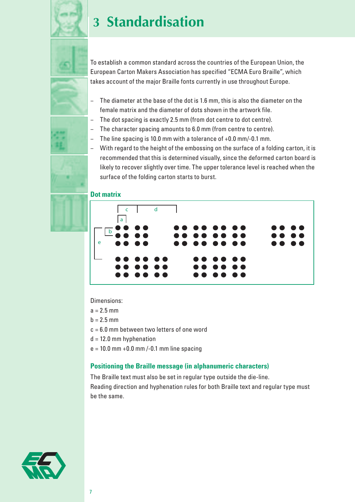

# **3 Standardisation**

To establish a common standard across the countries of the European Union, the European Carton Makers Association has specified "ECMA Euro Braille", which takes account of the major Braille fonts currently in use throughout Europe.

- − The diameter at the base of the dot is 1.6 mm, this is also the diameter on the female matrix and the diameter of dots shown in the artwork file.
- The dot spacing is exactly 2.5 mm (from dot centre to dot centre).
- The character spacing amounts to 6.0 mm (from centre to centre).
- − The line spacing is 10.0 mm with a tolerance of +0.0 mm/-0.1 mm.
- − With regard to the height of the embossing on the surface of a folding carton, it is recommended that this is determined visually, since the deformed carton board is likely to recover slightly over time. The upper tolerance level is reached when the surface of the folding carton starts to burst.

#### **Dot matrix**



Dimensions:

- $a = 2.5$  mm
- $b = 2.5$  mm
- c = 6.0 mm between two letters of one word
- $d = 12.0$  mm hyphenation
- $e = 10.0$  mm  $+0.0$  mm  $-0.1$  mm line spacing

### **Positioning the Braille message (in alphanumeric characters)**

The Braille text must also be set in regular type outside the die-line. Reading direction and hyphenation rules for both Braille text and regular type must be the same.

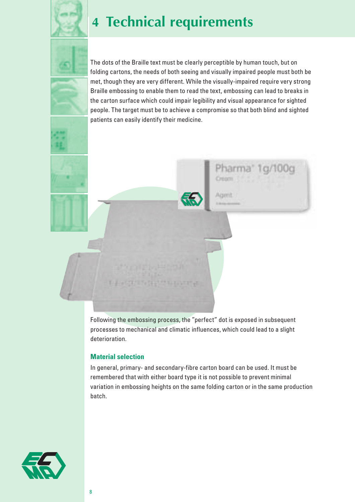

# **4 Technical requirements**



The dots of the Braille text must be clearly perceptible by human touch, but on folding cartons, the needs of both seeing and visually impaired people must both be met, though they are very different. While the visually-impaired require very strong Braille embossing to enable them to read the text, embossing can lead to breaks in the carton surface which could impair legibility and visual appearance for sighted people. The target must be to achieve a compromise so that both blind and sighted patients can easily identify their medicine.

Pharma" 1 g/100g

Oreon

Agent



### **Material selection**

In general, primary- and secondary-fibre carton board can be used. It must be remembered that with either board type it is not possible to prevent minimal variation in embossing heights on the same folding carton or in the same production batch.

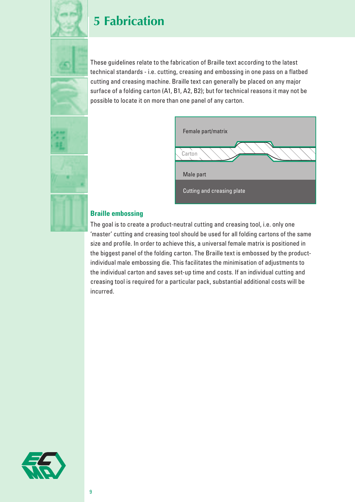

### **5 Fabrication**

These guidelines relate to the fabrication of Braille text according to the latest technical standards - i.e. cutting, creasing and embossing in one pass on a flatbed cutting and creasing machine. Braille text can generally be placed on any major surface of a folding carton (A1, B1, A2, B2); but for technical reasons it may not be possible to locate it on more than one panel of any carton.





### **Braille embossing**

The goal is to create a product-neutral cutting and creasing tool, i.e. only one 'master' cutting and creasing tool should be used for all folding cartons of the same size and profile. In order to achieve this, a universal female matrix is positioned in the biggest panel of the folding carton. The Braille text is embossed by the productindividual male embossing die. This facilitates the minimisation of adjustments to the individual carton and saves set-up time and costs. If an individual cutting and creasing tool is required for a particular pack, substantial additional costs will be incurred.

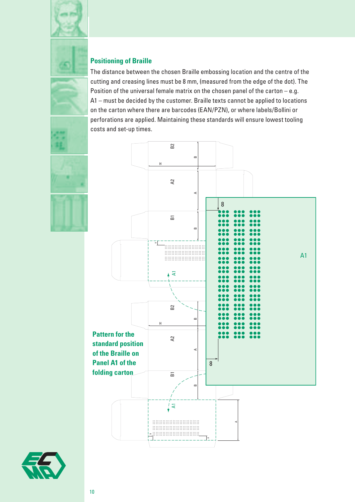



### **Positioning of Braille**

The distance between the chosen Braille embossing location and the centre of the cutting and creasing lines must be 8 mm, (measured from the edge of the dot). The Position of the universal female matrix on the chosen panel of the carton – e.g. A1 – must be decided by the customer. Braille texts cannot be applied to locations on the carton where there are barcodes (EAN/PZN), or where labels/Bollini or perforations are applied. Maintaining these standards will ensure lowest tooling costs and set-up times.



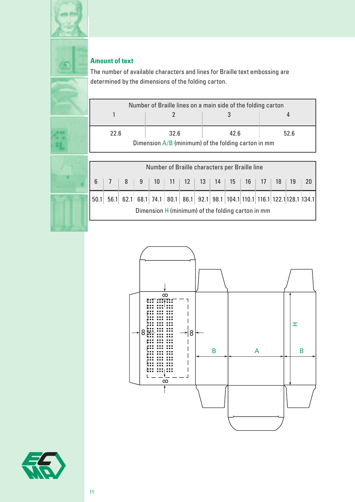

### **Amount of text**

The number of available characters and lines for Braille text embossing are determined by the dimensions of the folding carton.

|      | Number of Braille lines on a main side of the folding carton |      |      |  |  |  |  |  |  |
|------|--------------------------------------------------------------|------|------|--|--|--|--|--|--|
|      |                                                              |      |      |  |  |  |  |  |  |
| 22.6 | 32.6                                                         | 42.6 | 52.6 |  |  |  |  |  |  |
|      | Dimension $A/B$ (minimum) of the folding carton in mm        |      |      |  |  |  |  |  |  |

|                 | Number of Braille characters per Braille line |  |   |    |  |                     |  |  |                                                                             |    |      |        |       |                |
|-----------------|-----------------------------------------------|--|---|----|--|---------------------|--|--|-----------------------------------------------------------------------------|----|------|--------|-------|----------------|
| $6\overline{6}$ |                                               |  | 9 | 10 |  | $11$   12   13   14 |  |  | 15                                                                          | 16 | - 17 | - 18 ∃ | $-19$ | $\parallel$ 20 |
| 50.1            |                                               |  |   |    |  |                     |  |  | 56.1 62.1 68.1 74.1 80.1 86.1 92.1 98.1 104.1 110.1 116.1 122.1 128.1 134.1 |    |      |        |       |                |
|                 |                                               |  |   |    |  |                     |  |  | Dimension H (minimum) of the folding carton in mm                           |    |      |        |       |                |



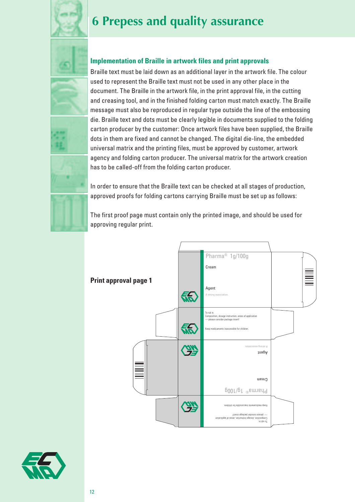

# **6 Prepess and quality assurance**





### **Implementation of Braille in artwork files and print approvals**

Braille text must be laid down as an additional layer in the artwork file. The colour used to represent the Braille text must not be used in any other place in the document. The Braille in the artwork file, in the print approval file, in the cutting and creasing tool, and in the finished folding carton must match exactly. The Braille message must also be reproduced in regular type outside the line of the embossing die. Braille text and dots must be clearly legible in documents supplied to the folding carton producer by the customer: Once artwork files have been supplied, the Braille dots in them are fixed and cannot be changed. The digital die-line, the embedded universal matrix and the printing files, must be approved by customer, artwork agency and folding carton producer. The universal matrix for the artwork creation has to be called-off from the folding carton producer.

In order to ensure that the Braille text can be checked at all stages of production, approved proofs for folding cartons carrying Braille must be set up as follows:

The first proof page must contain only the printed image, and should be used for approving regular print.



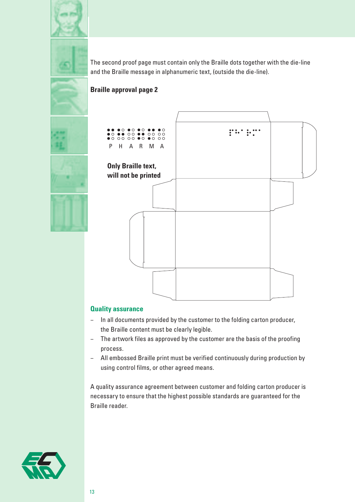



The second proof page must contain only the Braille dots together with the die-line and the Braille message in alphanumeric text, (outside the die-line).

### **Braille approval page 2**







### **Quality assurance**

- − In all documents provided by the customer to the folding carton producer, the Braille content must be clearly legible.
- − The artwork files as approved by the customer are the basis of the proofing process.
- − All embossed Braille print must be verified continuously during production by using control films, or other agreed means.

A quality assurance agreement between customer and folding carton producer is necessary to ensure that the highest possible standards are guaranteed for the Braille reader.

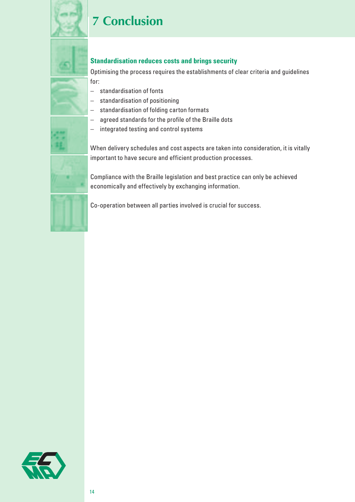

# **7 Conclusion**



### **Standardisation reduces costs and brings security**

Optimising the process requires the establishments of clear criteria and guidelines

- − standardisation of fonts
- − standardisation of positioning
- − standardisation of folding carton formats
- − agreed standards for the profile of the Braille dots
- − integrated testing and control systems

When delivery schedules and cost aspects are taken into consideration, it is vitally important to have secure and efficient production processes.

Compliance with the Braille legislation and best practice can only be achieved economically and effectively by exchanging information.

Co-operation between all parties involved is crucial for success.

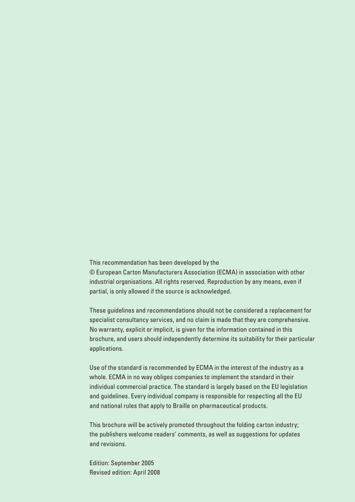This recommendation has been developed by the © European Carton Manufacturers Association (ECMA) in association with other industrial organisations. All rights reserved. Reproduction by any means, even if partial, is only allowed if the source is acknowledged.

These guidelines and recommendations should not be considered a replacement for specialist consultancy services, and no claim is made that they are comprehensive. No warranty, explicit or implicit, is given for the information contained in this brochure, and users should independently determine its suitability for their particular applications.

Use of the standard is recommended by ECMA in the interest of the industry as a whole. ECMA in no way obliges companies to implement the standard in their individual commercial practice. The standard is largely based on the EU legislation and guidelines. Every individual company is responsible for respecting all the EU and national rules that apply to Braille on pharmaceutical products.

This brochure will be actively promoted throughout the folding carton industry; the publishers welcome readers' comments, as well as suggestions for updates and revisions.

Edition: September 2005 Revised edition: April 2008